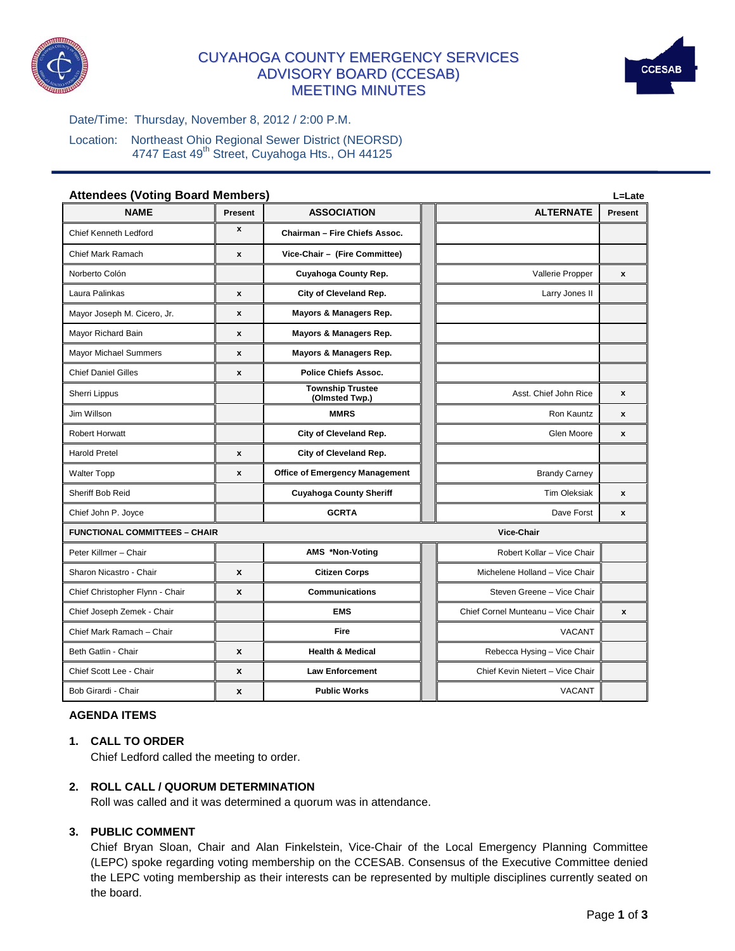

# CUYAHOGA COUNTY EMERGENCY SERVICES ADVISORY BOARD (CCESAB) MEETING MINUTES



Date/Time: Thursday, November 8, 2012 / 2:00 P.M.

Location: Northeast Ohio Regional Sewer District (NEORSD) 4747 East 49<sup>th</sup> Street, Cuyahoga Hts., OH 44125

| <b>Attendees (Voting Board Members)</b> |                    |                                           |  | L=Late                             |                    |  |
|-----------------------------------------|--------------------|-------------------------------------------|--|------------------------------------|--------------------|--|
| <b>NAME</b>                             | Present            | <b>ASSOCIATION</b>                        |  | <b>ALTERNATE</b>                   | Present            |  |
| <b>Chief Kenneth Ledford</b>            | $\mathbf{x}$       | Chairman - Fire Chiefs Assoc.             |  |                                    |                    |  |
| Chief Mark Ramach                       | $\mathbf{x}$       | Vice-Chair - (Fire Committee)             |  |                                    |                    |  |
| Norberto Colón                          |                    | Cuyahoga County Rep.                      |  | Vallerie Propper                   | $\pmb{\mathsf{x}}$ |  |
| Laura Palinkas                          | X                  | City of Cleveland Rep.                    |  | Larry Jones II                     |                    |  |
| Mayor Joseph M. Cicero, Jr.             | $\boldsymbol{x}$   | Mayors & Managers Rep.                    |  |                                    |                    |  |
| Mayor Richard Bain                      | X                  | Mayors & Managers Rep.                    |  |                                    |                    |  |
| <b>Mayor Michael Summers</b>            | x                  | Mayors & Managers Rep.                    |  |                                    |                    |  |
| <b>Chief Daniel Gilles</b>              | $\pmb{\mathsf{x}}$ | <b>Police Chiefs Assoc.</b>               |  |                                    |                    |  |
| Sherri Lippus                           |                    | <b>Township Trustee</b><br>(Olmsted Twp.) |  | Asst. Chief John Rice              | $\mathbf{x}$       |  |
| Jim Willson                             |                    | <b>MMRS</b>                               |  | Ron Kauntz                         | X                  |  |
| Robert Horwatt                          |                    | City of Cleveland Rep.                    |  | Glen Moore                         | $\mathbf{x}$       |  |
| <b>Harold Pretel</b>                    | $\boldsymbol{x}$   | City of Cleveland Rep.                    |  |                                    |                    |  |
| Walter Topp                             | X                  | <b>Office of Emergency Management</b>     |  | <b>Brandy Carney</b>               |                    |  |
| Sheriff Bob Reid                        |                    | <b>Cuyahoga County Sheriff</b>            |  | <b>Tim Oleksiak</b>                | $\mathbf{x}$       |  |
| Chief John P. Joyce                     |                    | <b>GCRTA</b>                              |  | Dave Forst                         | X                  |  |
| <b>FUNCTIONAL COMMITTEES - CHAIR</b>    |                    |                                           |  | Vice-Chair                         |                    |  |
| Peter Killmer - Chair                   |                    | AMS *Non-Voting                           |  | Robert Kollar - Vice Chair         |                    |  |
| Sharon Nicastro - Chair                 | X                  | <b>Citizen Corps</b>                      |  | Michelene Holland - Vice Chair     |                    |  |
| Chief Christopher Flynn - Chair         | X                  | <b>Communications</b>                     |  | Steven Greene - Vice Chair         |                    |  |
| Chief Joseph Zemek - Chair              |                    | <b>EMS</b>                                |  | Chief Cornel Munteanu - Vice Chair | X                  |  |
| Chief Mark Ramach - Chair               |                    | Fire                                      |  | <b>VACANT</b>                      |                    |  |
| Beth Gatlin - Chair                     | X                  | <b>Health &amp; Medical</b>               |  | Rebecca Hysing - Vice Chair        |                    |  |
| Chief Scott Lee - Chair                 | $\pmb{\mathsf{x}}$ | <b>Law Enforcement</b>                    |  | Chief Kevin Nietert - Vice Chair   |                    |  |
| Bob Girardi - Chair                     | X                  | <b>Public Works</b>                       |  | <b>VACANT</b>                      |                    |  |

## **AGENDA ITEMS**

# **1. CALL TO ORDER**

Chief Ledford called the meeting to order.

#### **2. ROLL CALL / QUORUM DETERMINATION**

Roll was called and it was determined a quorum was in attendance.

## **3. PUBLIC COMMENT**

Chief Bryan Sloan, Chair and Alan Finkelstein, Vice-Chair of the Local Emergency Planning Committee (LEPC) spoke regarding voting membership on the CCESAB. Consensus of the Executive Committee denied the LEPC voting membership as their interests can be represented by multiple disciplines currently seated on the board.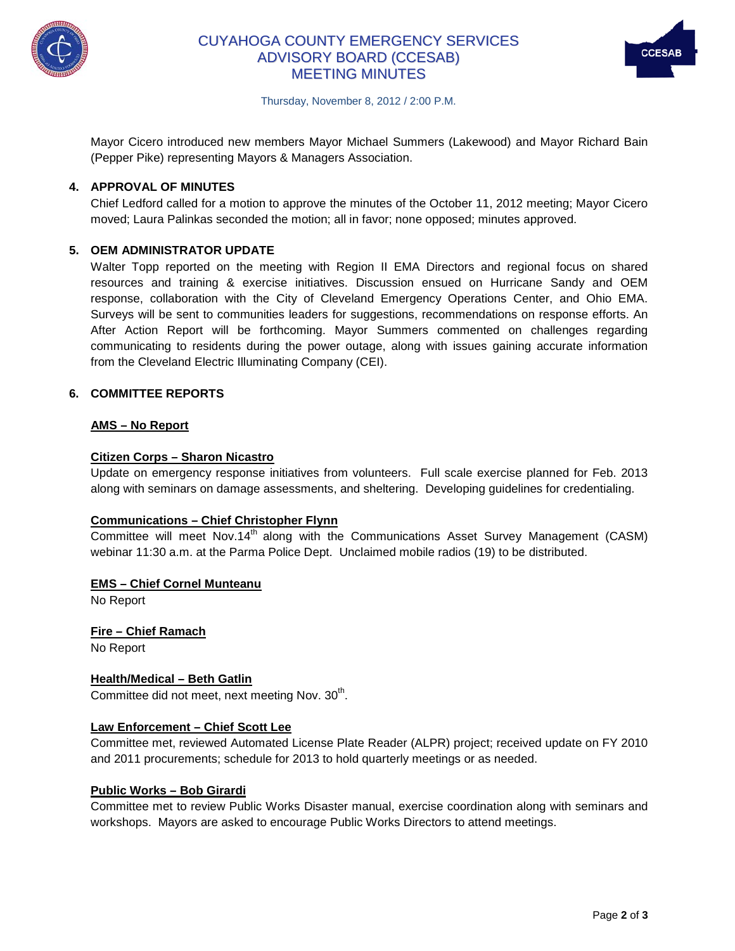

# CUYAHOGA COUNTY EMERGENCY SERVICES ADVISORY BOARD (CCESAB) MEETING MINUTES



Thursday, November 8, 2012 / 2:00 P.M.

Mayor Cicero introduced new members Mayor Michael Summers (Lakewood) and Mayor Richard Bain (Pepper Pike) representing Mayors & Managers Association.

## **4. APPROVAL OF MINUTES**

Chief Ledford called for a motion to approve the minutes of the October 11, 2012 meeting; Mayor Cicero moved; Laura Palinkas seconded the motion; all in favor; none opposed; minutes approved.

## **5. OEM ADMINISTRATOR UPDATE**

Walter Topp reported on the meeting with Region II EMA Directors and regional focus on shared resources and training & exercise initiatives. Discussion ensued on Hurricane Sandy and OEM response, collaboration with the City of Cleveland Emergency Operations Center, and Ohio EMA. Surveys will be sent to communities leaders for suggestions, recommendations on response efforts. An After Action Report will be forthcoming. Mayor Summers commented on challenges regarding communicating to residents during the power outage, along with issues gaining accurate information from the Cleveland Electric Illuminating Company (CEI).

### **6. COMMITTEE REPORTS**

### **AMS – No Report**

#### **Citizen Corps – Sharon Nicastro**

Update on emergency response initiatives from volunteers. Full scale exercise planned for Feb. 2013 along with seminars on damage assessments, and sheltering. Developing guidelines for credentialing.

#### **Communications – Chief Christopher Flynn**

Committee will meet Nov.14<sup>th</sup> along with the Communications Asset Survey Management (CASM) webinar 11:30 a.m. at the Parma Police Dept. Unclaimed mobile radios (19) to be distributed.

#### **EMS – Chief Cornel Munteanu**

No Report

**Fire – Chief Ramach**

No Report

#### **Health/Medical – Beth Gatlin**

Committee did not meet, next meeting Nov. 30<sup>th</sup>.

## **Law Enforcement – Chief Scott Lee**

Committee met, reviewed Automated License Plate Reader (ALPR) project; received update on FY 2010 and 2011 procurements; schedule for 2013 to hold quarterly meetings or as needed.

#### **Public Works – Bob Girardi**

Committee met to review Public Works Disaster manual, exercise coordination along with seminars and workshops. Mayors are asked to encourage Public Works Directors to attend meetings.